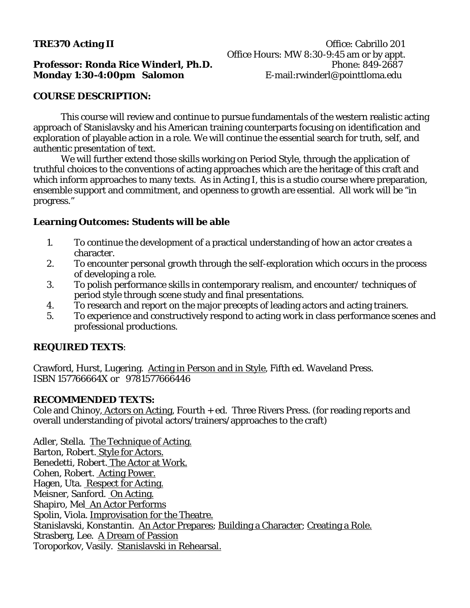# **TRE370 Acting II Office: Cabrillo 201** Office Hours: MW 8:30-9:45 am or by appt.

### **Professor: Ronda Rice Winderl, Ph.D. Phone: 849-2687 Monday 1:30-4:00pm Salomon** E-mail:rwinderl@pointtloma.edu

### **COURSE DESCRIPTION:**

This course will review and continue to pursue fundamentals of the western realistic acting approach of Stanislavsky and his American training counterparts focusing on identification and exploration of playable action in a role. We will continue the essential search for truth, self, and authentic presentation of text.

We will further extend those skills working on Period Style, through the application of truthful choices to the conventions of acting approaches which are the heritage of this craft and which inform approaches to many texts. As in Acting I, this is a studio course where preparation, ensemble support and commitment, and openness to growth are essential. All work will be "in progress."

# **Learning Outcomes: Students will be able**

- 1. To continue the development of a practical understanding of how an actor creates a character.
- 2. To encounter personal growth through the self-exploration which occurs in the process of developing a role.
- 3. To polish performance skills in contemporary realism, and encounter/ techniques of period style through scene study and final presentations.
- 4. To research and report on the major precepts of leading actors and acting trainers.
- 5. To experience and constructively respond to acting work in class performance scenes and professional productions.

# **REQUIRED TEXTS**:

Crawford, Hurst, Lugering. Acting in Person and in Style, Fifth ed. Waveland Press. ISBN 157766664X or 9781577666446

# **RECOMMENDED TEXTS:**

Cole and Chinoy, Actors on Acting, Fourth + ed. Three Rivers Press. (for reading reports and overall understanding of pivotal actors/trainers/approaches to the craft)

Adler, Stella. The Technique of Acting. Barton, Robert. Style for Actors. Benedetti, Robert. The Actor at Work. Cohen, Robert. Acting Power. Hagen, Uta. Respect for Acting. Meisner, Sanford. On Acting. Shapiro, Mel An Actor Performs Spolin, Viola. Improvisation for the Theatre. Stanislavski, Konstantin. An Actor Prepares; Building a Character; Creating a Role. Strasberg, Lee. A Dream of Passion Toroporkov, Vasily. Stanislavski in Rehearsal.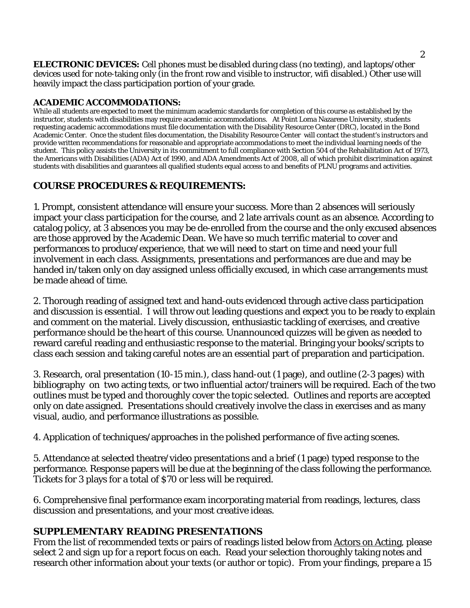**ELECTRONIC DEVICES:** Cell phones must be disabled during class (no texting), and laptops/other devices used for note-taking only (in the front row and visible to instructor, wifi disabled.) Other use will heavily impact the class participation portion of your grade.

### **ACADEMIC ACCOMMODATIONS:**

While all students are expected to meet the minimum academic standards for completion of this course as established by the instructor, students with disabilities may require academic accommodations. At Point Loma Nazarene University, students requesting academic accommodations must file documentation with the Disability Resource Center (DRC), located in the Bond Academic Center. Once the student files documentation, the Disability Resource Center will contact the student's instructors and provide written recommendations for reasonable and appropriate accommodations to meet the individual learning needs of the student. This policy assists the University in its commitment to full compliance with Section 504 of the Rehabilitation Act of 1973, the Americans with Disabilities (ADA) Act of 1990, and ADA Amendments Act of 2008, all of which prohibit discrimination against students with disabilities and guarantees all qualified students equal access to and benefits of PLNU programs and activities.

# **COURSE PROCEDURES & REQUIREMENTS:**

1. Prompt, consistent attendance will ensure your success. More than 2 absences will seriously impact your class participation for the course, and 2 late arrivals count as an absence. According to catalog policy, at 3 absences you may be de-enrolled from the course and the only excused absences are those approved by the Academic Dean. We have so much terrific material to cover and performances to produce/experience, that we will need to start on time and need your full involvement in each class. Assignments, presentations and performances are due and may be handed in/taken only on day assigned unless officially excused, in which case arrangements must be made ahead of time.

2. Thorough reading of assigned text and hand-outs evidenced through active class participation and discussion is essential. I will throw out leading questions and expect you to be ready to explain and comment on the material. Lively discussion, enthusiastic tackling of exercises, and creative performance should be the heart of this course. Unannounced quizzes will be given as needed to reward careful reading and enthusiastic response to the material. Bringing your books/scripts to class each session and taking careful notes are an essential part of preparation and participation.

3. Research, oral presentation (10-15 min.), class hand-out (1 page), and outline (2-3 pages) with bibliography on two acting texts, or two influential actor/trainers will be required. Each of the two outlines must be typed and thoroughly cover the topic selected. Outlines and reports are accepted only on date assigned. Presentations should creatively involve the class in exercises and as many visual, audio, and performance illustrations as possible.

4. Application of techniques/approaches in the polished performance of five acting scenes.

5. Attendance at selected theatre/video presentations and a brief (1 page) typed response to the performance. Response papers will be due at the beginning of the class following the performance. Tickets for 3 plays for a total of \$70 or less will be required.

6. Comprehensive final performance exam incorporating material from readings, lectures, class discussion and presentations, and your most creative ideas.

# **SUPPLEMENTARY READING PRESENTATIONS**

From the list of recommended texts or pairs of readings listed below from Actors on Acting, please select 2 and sign up for a report focus on each. Read your selection thoroughly taking notes and research other information about your texts (or author or topic). From your findings, prepare a 15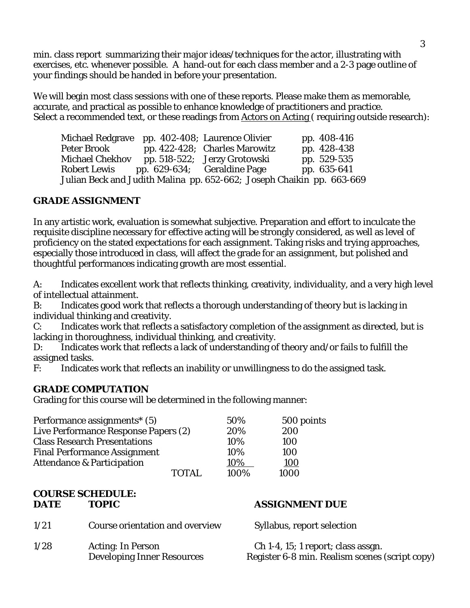min. class report summarizing their major ideas/techniques for the actor, illustrating with exercises, etc. whenever possible. A hand-out for each class member and a 2-3 page outline of your findings should be handed in before your presentation.

We will begin most class sessions with one of these reports. Please make them as memorable, accurate, and practical as possible to enhance knowledge of practitioners and practice. Select a recommended text, or these readings from Actors on Acting (requiring outside research):

Michael Redgrave pp. 402-408; Laurence Olivier pp. 408-416 Peter Brook pp. 422-428; Charles Marowitz pp. 428-438 Michael Chekhov pp. 518-522; Jerzy Grotowski pp. 529-535 Robert Lewis pp. 629-634; Geraldine Page pp. 635-641 Julian Beck and Judith Malina pp. 652-662; Joseph Chaikin pp. 663-669

# **GRADE ASSIGNMENT**

In any artistic work, evaluation is somewhat subjective. Preparation and effort to inculcate the requisite discipline necessary for effective acting will be strongly considered, as well as level of proficiency on the stated expectations for each assignment. Taking risks and trying approaches, especially those introduced in class, will affect the grade for an assignment, but polished and thoughtful performances indicating growth are most essential.

A: Indicates excellent work that reflects thinking, creativity, individuality, and a very high level of intellectual attainment.

B: Indicates good work that reflects a thorough understanding of theory but is lacking in individual thinking and creativity.

C: Indicates work that reflects a satisfactory completion of the assignment as directed, but is lacking in thoroughness, individual thinking, and creativity.

D: Indicates work that reflects a lack of understanding of theory and/or fails to fulfill the assigned tasks.

F: Indicates work that reflects an inability or unwillingness to do the assigned task.

# **GRADE COMPUTATION**

Grading for this course will be determined in the following manner:

| Performance assignments <sup>*</sup> (5) | 50%           | 500 points |
|------------------------------------------|---------------|------------|
| Live Performance Response Papers (2)     | 20%           | 200        |
| <b>Class Research Presentations</b>      | 10%           | 100        |
| <b>Final Performance Assignment</b>      | 10%           | 100        |
| <b>Attendance &amp; Participation</b>    | 10%           | 100        |
|                                          | 100%<br>TOTAL | 1000       |

# **COURSE SCHEDULE: DATE TOPIC ASSIGNMENT DUE**

1/21 Course orientation and overview Syllabus, report selection 1/28 Acting: In Person Ch 1-4, 15; 1 report; class assgn.

Developing Inner Resources Register 6-8 min. Realism scenes (script copy)